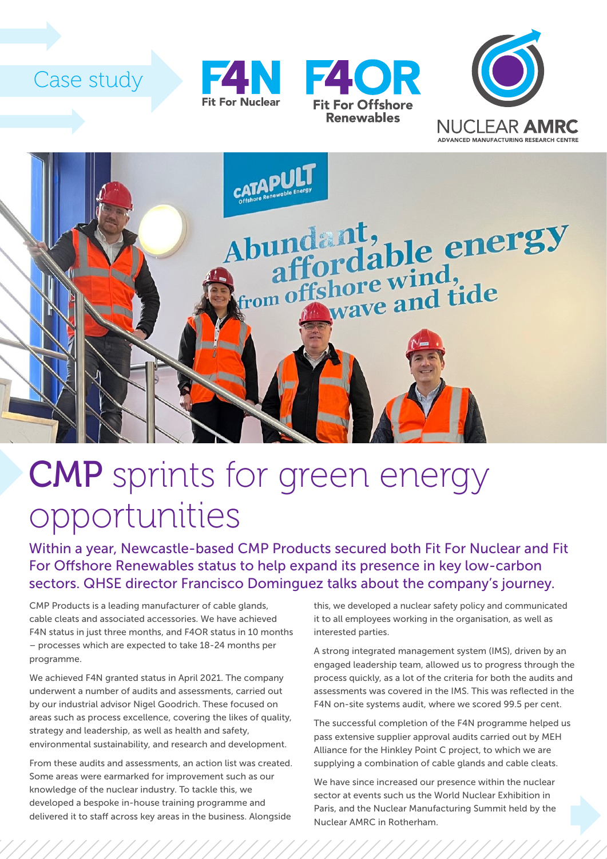## Case study









## CMP sprints for green energy opportunities

Within a year, Newcastle-based CMP Products secured both Fit For Nuclear and Fit For Offshore Renewables status to help expand its presence in key low-carbon sectors. QHSE director Francisco Dominguez talks about the company's journey.

CMP Products is a leading manufacturer of cable glands, cable cleats and associated accessories. We have achieved F4N status in just three months, and F4OR status in 10 months – processes which are expected to take 18-24 months per programme.

We achieved F4N granted status in April 2021. The company underwent a number of audits and assessments, carried out by our industrial advisor Nigel Goodrich. These focused on areas such as process excellence, covering the likes of quality, strategy and leadership, as well as health and safety, environmental sustainability, and research and development.

From these audits and assessments, an action list was created. Some areas were earmarked for improvement such as our knowledge of the nuclear industry. To tackle this, we developed a bespoke in-house training programme and delivered it to staff across key areas in the business. Alongside

this, we developed a nuclear safety policy and communicated it to all employees working in the organisation, as well as interested parties.

A strong integrated management system (IMS), driven by an engaged leadership team, allowed us to progress through the process quickly, as a lot of the criteria for both the audits and assessments was covered in the IMS. This was reflected in the F4N on-site systems audit, where we scored 99.5 per cent.

The successful completion of the F4N programme helped us pass extensive supplier approval audits carried out by MEH Alliance for the Hinkley Point C project, to which we are supplying a combination of cable glands and cable cleats.

We have since increased our presence within the nuclear sector at events such us the World Nuclear Exhibition in Paris, and the Nuclear Manufacturing Summit held by the Nuclear AMRC in Rotherham.